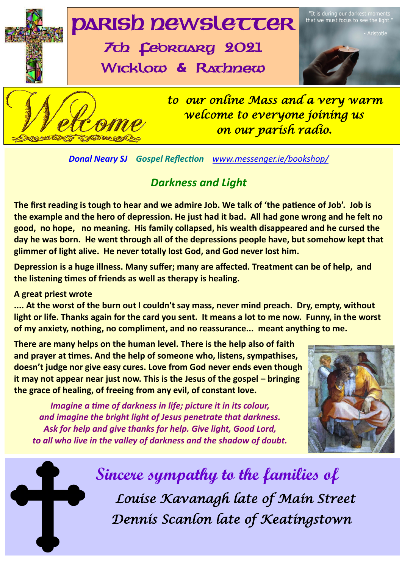

*Donal Neary SJ Gospel Reflection [www.messenger.ie/bookshop/](http://www.messenger.ie/bookshop/)* 

### *Darkness and Light*

**The first reading is tough to hear and we admire Job. We talk of 'the patience of Job'. Job is the example and the hero of depression. He just had it bad. All had gone wrong and he felt no good, no hope, no meaning. His family collapsed, his wealth disappeared and he cursed the day he was born. He went through all of the depressions people have, but somehow kept that glimmer of light alive. He never totally lost God, and God never lost him.**

re af<br>; hea **Depression is a huge illness. Many suffer; many are affected. Treatment can be of help, and the listening times of friends as well as therapy is healing.**

#### **A great priest wrote**

**.... At the worst of the burn out I couldn't say mass, never mind preach. Dry, empty, without light or life. Thanks again for the card you sent. It means a lot to me now. Funny, in the worst of my anxiety, nothing, no compliment, and no reassurance... meant anything to me.**

**There are many helps on the human level. There is the help also of faith and prayer at times. And the help of someone who, listens, sympathises, doesn't judge nor give easy cures. Love from God never ends even though it may not appear near just now. This is the Jesus of the gospel – bringing the grace of healing, of freeing from any evil, of constant love.**

*Imagine a time of darkness in life; picture it in its colour, and imagine the bright light of Jesus penetrate that darkness. Ask for help and give thanks for help. Give light, Good Lord, to all who live in the valley of darkness and the shadow of doubt.* 



 **Sincere sympathy to the families of** *Louise Kavanagh late of Main Street Dennis Scanlon late of Keatingstown*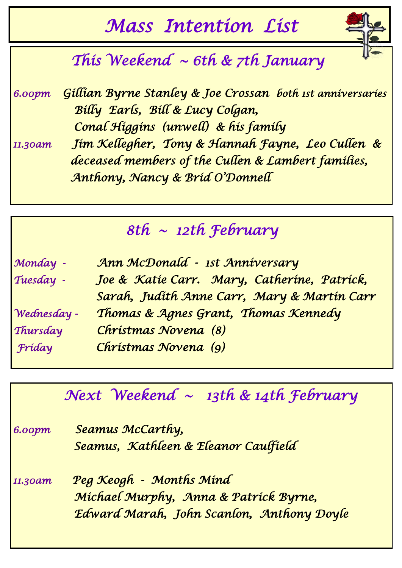# *Mass Intention List*



*6.00pm Gillian Byrne Stanley & Joe Crossan both 1st anniversaries Billy Earls, Bill & Lucy Colgan, Conal Higgins (unwell) & his family* 

*11.30am Jim Kellegher, Tony & Hannah Fayne, Leo Cullen & deceased members of the Cullen & Lambert families, Anthony, Nancy & Brid O'Donnell* 

## *8th ~ 12th February*

| Monday -    | Ann McDonald - 1st Anniversary              |
|-------------|---------------------------------------------|
| Tuesday -   | Joe & Katie Carr. Mary, Catherine, Patrick, |
|             | Sarah, Judith Anne Carr, Mary & Martin Carr |
| Wednesday - | Thomas & Agnes Grant, Thomas Kennedy        |
| Thursday    | Christmas Novena (8)                        |
| Fríday      | Christmas Novena (9)                        |

# *Next Weekend ~ 13th & 14th February 6.00pm Seamus McCarthy, Seamus, Kathleen & Eleanor Caulfield 11.30am Peg Keogh - Months Mind Michael Murphy, Anna & Patrick Byrne, Edward Marah, John Scanlon, Anthony Doyle*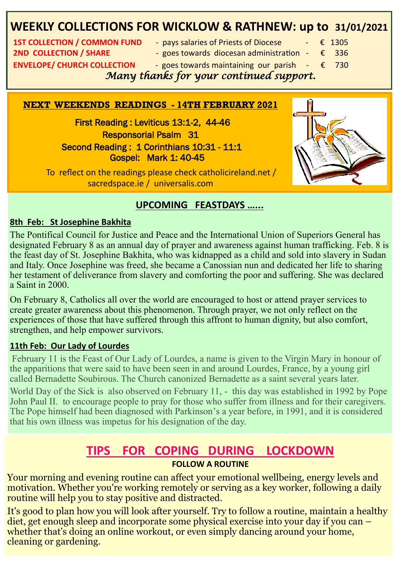## **WEEKLY COLLECTIONS FOR WICKLOW & RATHNEW: up to 31/01/2021**

**2ND COLLECTION / SHARE** - expes towards diocesan administration - € 336 **ENVELOPE/ CHURCH COLLECTION** - goes towards maintaining our parish  $-\epsilon$  730

- **1ST COLLECTION / COMMON FUND + pays salaries of Priests of Diocese + € 1305** 
	-
	-

 *Many thanks for your continued support.* 

#### **NEXT WEEKENDS READINGS - 14TH FEBRUARY 2021**

 First Reading : Leviticus 13:1-2, 44-46 Responsorial Psalm 31 Second Reading: 1 Corinthians 10:31 - 11:1 Gospel: Mark 1: 40-45



 To reflect on the readings please check catholicireland.net / sacredspace.ie / universalis.com

#### **UPCOMING FEASTDAYS …...**

#### **8th Feb: St Josephine Bakhita**

The Pontifical Council for Justice and Peace and the International Union of Superiors General has designated February 8 as an annual day of prayer and awareness against human trafficking. Feb. 8 is the feast day of St. Josephine Bakhita, who was kidnapped as a child and sold into slavery in Sudan and Italy. Once Josephine was freed, she became a Canossian nun and dedicated her life to sharing her testament of deliverance from slavery and comforting the poor and suffering. She was declared a Saint in 2000.

On February 8, Catholics all over the world are encouraged to host or attend prayer services to create greater awareness about this phenomenon. Through prayer, we not only reflect on the experiences of those that have suffered through this affront to human dignity, but also comfort, strengthen, and help empower survivors.

#### **11th Feb: Our Lady of Lourdes**

February 11 is the Feast of Our Lady of Lourdes, a name is given to the Virgin Mary in honour of the apparitions that were said to have been seen in and around Lourdes, France, by a young girl called Bernadette Soubirous. The Church canonized Bernadette as a saint several years later.

World Day of the Sick is also observed on February 11, - this day was established in 1992 by Pope John Paul II. to encourage people to pray for those who suffer from illness and for their caregivers. The Pope himself had been diagnosed with Parkinson's a year before, in 1991, and it is considered that his own illness was impetus for his designation of the day.

#### **TIPS FOR COPING DURING LOCKDOWN FOLLOW A ROUTINE**

*Cour morning and evening routine can affect your emotional wellbeing, energy levels and* **Cummiskey) who won to stay positive and distracted.** motivation. Whether you're working remotely or serving as a key worker, following a daily

3 *Parish Lotto last week. Here she is with*  diet, get enough sleep and incorporate some physical exercise into your day if you can – *Franch* compared compared to the *Franch* collection of the *Franch* collection of the *Franch* collection of *Franch* collection and *Franch* collection of *Franch* collection and *Franch* collection and *Franch* collect It's good to plan how you will look after yourself. Try to follow a routine, maintain a healthy whether that's doing an online workout, or even simply dancing around your home, cleaning or gardening.